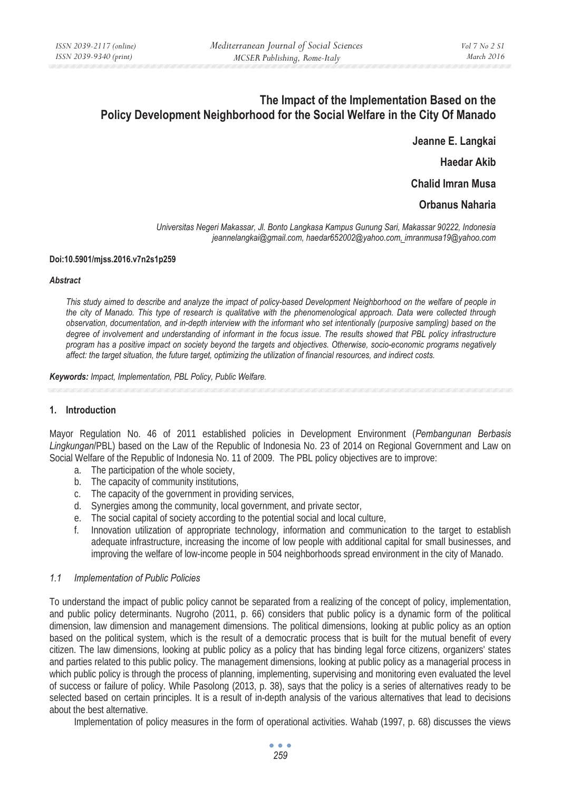# **The Impact of the Implementation Based on the Policy Development Neighborhood for the Social Welfare in the City Of Manado**

**Jeanne E. Langkai Haedar Akib** 

**Chalid Imran Musa** 

# **Orbanus Naharia**

*Universitas Negeri Makassar, Jl. Bonto Langkasa Kampus Gunung Sari, Makassar 90222, Indonesia jeannelangkai@gmail.com, haedar652002@yahoo.com, imranmusa19@yahoo.com* 

#### **Doi:10.5901/mjss.2016.v7n2s1p259**

#### *Abstract*

*This study aimed to describe and analyze the impact of policy-based Development Neighborhood on the welfare of people in the city of Manado. This type of research is qualitative with the phenomenological approach. Data were collected through observation, documentation, and in-depth interview with the informant who set intentionally (purposive sampling) based on the*  degree of involvement and understanding of informant in the focus issue. The results showed that PBL policy infrastructure *program has a positive impact on society beyond the targets and objectives. Otherwise, socio-economic programs negatively affect: the target situation, the future target, optimizing the utilization of financial resources, and indirect costs.* 

*Keywords: Impact, Implementation, PBL Policy, Public Welfare.* 

#### **1. Introduction**

Mayor Regulation No. 46 of 2011 established policies in Development Environment (*Pembangunan Berbasis Lingkungan*/PBL) based on the Law of the Republic of Indonesia No. 23 of 2014 on Regional Government and Law on Social Welfare of the Republic of Indonesia No. 11 of 2009. The PBL policy objectives are to improve:

- a. The participation of the whole society,
- b. The capacity of community institutions,
- c. The capacity of the government in providing services,
- d. Synergies among the community, local government, and private sector,
- e. The social capital of society according to the potential social and local culture,
- f. Innovation utilization of appropriate technology, information and communication to the target to establish adequate infrastructure, increasing the income of low people with additional capital for small businesses, and improving the welfare of low-income people in 504 neighborhoods spread environment in the city of Manado.

#### *1.1 Implementation of Public Policies*

To understand the impact of public policy cannot be separated from a realizing of the concept of policy, implementation, and public policy determinants. Nugroho (2011, p. 66) considers that public policy is a dynamic form of the political dimension, law dimension and management dimensions. The political dimensions, looking at public policy as an option based on the political system, which is the result of a democratic process that is built for the mutual benefit of every citizen. The law dimensions, looking at public policy as a policy that has binding legal force citizens, organizers' states and parties related to this public policy. The management dimensions, looking at public policy as a managerial process in which public policy is through the process of planning, implementing, supervising and monitoring even evaluated the level of success or failure of policy. While Pasolong (2013, p. 38), says that the policy is a series of alternatives ready to be selected based on certain principles. It is a result of in-depth analysis of the various alternatives that lead to decisions about the best alternative.

Implementation of policy measures in the form of operational activities. Wahab (1997, p. 68) discusses the views

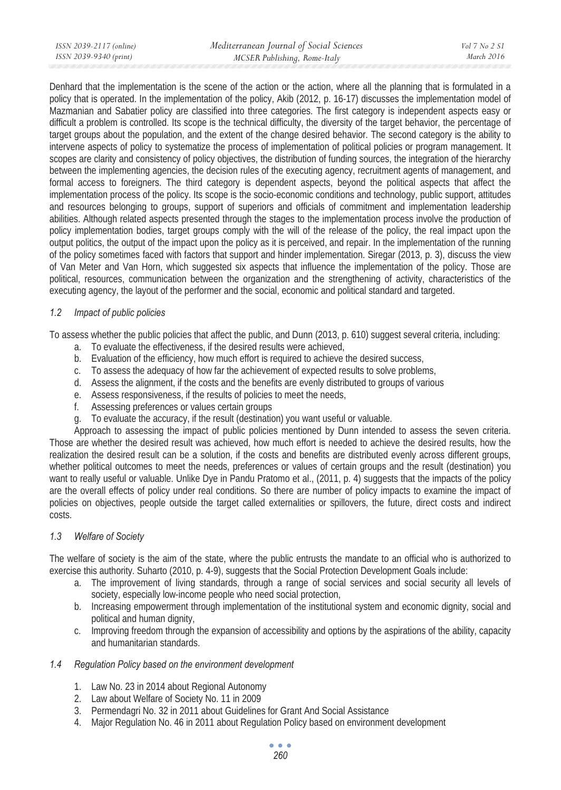Denhard that the implementation is the scene of the action or the action, where all the planning that is formulated in a policy that is operated. In the implementation of the policy, Akib (2012, p. 16-17) discusses the implementation model of Mazmanian and Sabatier policy are classified into three categories. The first category is independent aspects easy or difficult a problem is controlled. Its scope is the technical difficulty, the diversity of the target behavior, the percentage of target groups about the population, and the extent of the change desired behavior. The second category is the ability to intervene aspects of policy to systematize the process of implementation of political policies or program management. It scopes are clarity and consistency of policy objectives, the distribution of funding sources, the integration of the hierarchy between the implementing agencies, the decision rules of the executing agency, recruitment agents of management, and formal access to foreigners. The third category is dependent aspects, beyond the political aspects that affect the implementation process of the policy. Its scope is the socio-economic conditions and technology, public support, attitudes and resources belonging to groups, support of superiors and officials of commitment and implementation leadership abilities. Although related aspects presented through the stages to the implementation process involve the production of policy implementation bodies, target groups comply with the will of the release of the policy, the real impact upon the output politics, the output of the impact upon the policy as it is perceived, and repair. In the implementation of the running of the policy sometimes faced with factors that support and hinder implementation. Siregar (2013, p. 3), discuss the view of Van Meter and Van Horn, which suggested six aspects that influence the implementation of the policy. Those are political, resources, communication between the organization and the strengthening of activity, characteristics of the executing agency, the layout of the performer and the social, economic and political standard and targeted.

# *1.2 Impact of public policies*

To assess whether the public policies that affect the public, and Dunn (2013, p. 610) suggest several criteria, including:

- a. To evaluate the effectiveness, if the desired results were achieved,
- b. Evaluation of the efficiency, how much effort is required to achieve the desired success,
- c. To assess the adequacy of how far the achievement of expected results to solve problems,
- d. Assess the alignment, if the costs and the benefits are evenly distributed to groups of various
- e. Assess responsiveness, if the results of policies to meet the needs,
- f. Assessing preferences or values certain groups
- g. To evaluate the accuracy, if the result (destination) you want useful or valuable.

Approach to assessing the impact of public policies mentioned by Dunn intended to assess the seven criteria. Those are whether the desired result was achieved, how much effort is needed to achieve the desired results, how the realization the desired result can be a solution, if the costs and benefits are distributed evenly across different groups, whether political outcomes to meet the needs, preferences or values of certain groups and the result (destination) you want to really useful or valuable. Unlike Dye in Pandu Pratomo et al., (2011, p. 4) suggests that the impacts of the policy are the overall effects of policy under real conditions. So there are number of policy impacts to examine the impact of policies on objectives, people outside the target called externalities or spillovers, the future, direct costs and indirect costs.

# *1.3 Welfare of Society*

The welfare of society is the aim of the state, where the public entrusts the mandate to an official who is authorized to exercise this authority. Suharto (2010, p. 4-9), suggests that the Social Protection Development Goals include:

- a. The improvement of living standards, through a range of social services and social security all levels of society, especially low-income people who need social protection,
- b. Increasing empowerment through implementation of the institutional system and economic dignity, social and political and human dignity,
- c. Improving freedom through the expansion of accessibility and options by the aspirations of the ability, capacity and humanitarian standards.

### *1.4 Regulation Policy based on the environment development*

- 1. Law No. 23 in 2014 about Regional Autonomy
- 2. Law about Welfare of Society No. 11 in 2009
- 3. Permendagri No. 32 in 2011 about Guidelines for Grant And Social Assistance
- 4. Major Regulation No. 46 in 2011 about Regulation Policy based on environment development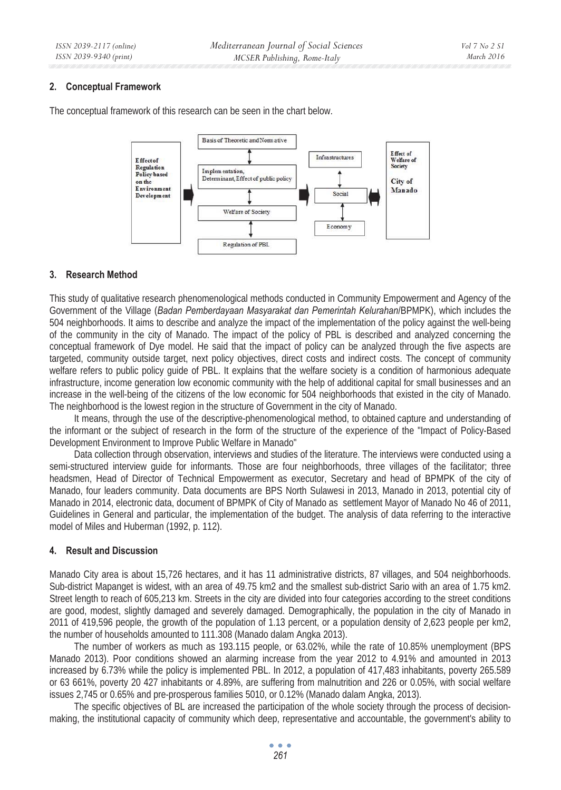#### **2. Conceptual Framework**



The conceptual framework of this research can be seen in the chart below.

### **3. Research Method**

This study of qualitative research phenomenological methods conducted in Community Empowerment and Agency of the Government of the Village (*Badan Pemberdayaan Masyarakat dan Pemerintah Kelurahan*/BPMPK), which includes the 504 neighborhoods. It aims to describe and analyze the impact of the implementation of the policy against the well-being of the community in the city of Manado. The impact of the policy of PBL is described and analyzed concerning the conceptual framework of Dye model. He said that the impact of policy can be analyzed through the five aspects are targeted, community outside target, next policy objectives, direct costs and indirect costs. The concept of community welfare refers to public policy guide of PBL. It explains that the welfare society is a condition of harmonious adequate infrastructure, income generation low economic community with the help of additional capital for small businesses and an increase in the well-being of the citizens of the low economic for 504 neighborhoods that existed in the city of Manado. The neighborhood is the lowest region in the structure of Government in the city of Manado.

It means, through the use of the descriptive-phenomenological method, to obtained capture and understanding of the informant or the subject of research in the form of the structure of the experience of the "Impact of Policy-Based Development Environment to Improve Public Welfare in Manado"

Data collection through observation, interviews and studies of the literature. The interviews were conducted using a semi-structured interview quide for informants. Those are four neighborhoods, three villages of the facilitator; three headsmen, Head of Director of Technical Empowerment as executor, Secretary and head of BPMPK of the city of Manado, four leaders community. Data documents are BPS North Sulawesi in 2013, Manado in 2013, potential city of Manado in 2014, electronic data, document of BPMPK of City of Manado as settlement Mayor of Manado No 46 of 2011, Guidelines in General and particular, the implementation of the budget. The analysis of data referring to the interactive model of Miles and Huberman (1992, p. 112).

#### **4. Result and Discussion**

Manado City area is about 15,726 hectares, and it has 11 administrative districts, 87 villages, and 504 neighborhoods. Sub-district Mapanget is widest, with an area of 49.75 km2 and the smallest sub-district Sario with an area of 1.75 km2. Street length to reach of 605,213 km. Streets in the city are divided into four categories according to the street conditions are good, modest, slightly damaged and severely damaged. Demographically, the population in the city of Manado in 2011 of 419,596 people, the growth of the population of 1.13 percent, or a population density of 2,623 people per km2, the number of households amounted to 111.308 (Manado dalam Angka 2013).

The number of workers as much as 193.115 people, or 63.02%, while the rate of 10.85% unemployment (BPS Manado 2013). Poor conditions showed an alarming increase from the year 2012 to 4.91% and amounted in 2013 increased by 6.73% while the policy is implemented PBL. In 2012, a population of 417,483 inhabitants, poverty 265.589 or 63 661%, poverty 20 427 inhabitants or 4.89%, are suffering from malnutrition and 226 or 0.05%, with social welfare issues 2,745 or 0.65% and pre-prosperous families 5010, or 0.12% (Manado dalam Angka, 2013).

The specific objectives of BL are increased the participation of the whole society through the process of decisionmaking, the institutional capacity of community which deep, representative and accountable, the government's ability to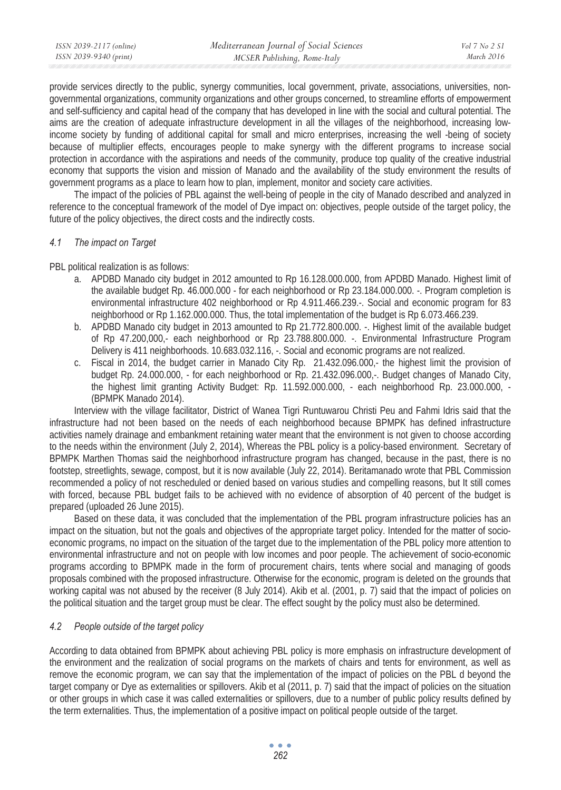provide services directly to the public, synergy communities, local government, private, associations, universities, nongovernmental organizations, community organizations and other groups concerned, to streamline efforts of empowerment and self-sufficiency and capital head of the company that has developed in line with the social and cultural potential. The aims are the creation of adequate infrastructure development in all the villages of the neighborhood, increasing lowincome society by funding of additional capital for small and micro enterprises, increasing the well -being of society because of multiplier effects, encourages people to make synergy with the different programs to increase social protection in accordance with the aspirations and needs of the community, produce top quality of the creative industrial economy that supports the vision and mission of Manado and the availability of the study environment the results of government programs as a place to learn how to plan, implement, monitor and society care activities.

The impact of the policies of PBL against the well-being of people in the city of Manado described and analyzed in reference to the conceptual framework of the model of Dye impact on: objectives, people outside of the target policy, the future of the policy objectives, the direct costs and the indirectly costs.

### *4.1 The impact on Target*

PBL political realization is as follows:

- a. APDBD Manado city budget in 2012 amounted to Rp 16.128.000.000, from APDBD Manado. Highest limit of the available budget Rp. 46.000.000 - for each neighborhood or Rp 23.184.000.000. -. Program completion is environmental infrastructure 402 neighborhood or Rp 4.911.466.239.-. Social and economic program for 83 neighborhood or Rp 1.162.000.000. Thus, the total implementation of the budget is Rp 6.073.466.239.
- b. APDBD Manado city budget in 2013 amounted to Rp 21.772.800.000. -. Highest limit of the available budget of Rp 47.200,000,- each neighborhood or Rp 23.788.800.000. -. Environmental Infrastructure Program Delivery is 411 neighborhoods. 10.683.032.116, -. Social and economic programs are not realized.
- c. Fiscal in 2014, the budget carrier in Manado City Rp. 21.432.096.000,- the highest limit the provision of budget Rp. 24.000.000, - for each neighborhood or Rp. 21.432.096.000,-. Budget changes of Manado City, the highest limit granting Activity Budget: Rp. 11.592.000.000, - each neighborhood Rp. 23.000.000, - (BPMPK Manado 2014).

Interview with the village facilitator, District of Wanea Tigri Runtuwarou Christi Peu and Fahmi Idris said that the infrastructure had not been based on the needs of each neighborhood because BPMPK has defined infrastructure activities namely drainage and embankment retaining water meant that the environment is not given to choose according to the needs within the environment (July 2, 2014), Whereas the PBL policy is a policy-based environment. Secretary of BPMPK Marthen Thomas said the neighborhood infrastructure program has changed, because in the past, there is no footstep, streetlights, sewage, compost, but it is now available (July 22, 2014). Beritamanado wrote that PBL Commission recommended a policy of not rescheduled or denied based on various studies and compelling reasons, but It still comes with forced, because PBL budget fails to be achieved with no evidence of absorption of 40 percent of the budget is prepared (uploaded 26 June 2015).

Based on these data, it was concluded that the implementation of the PBL program infrastructure policies has an impact on the situation, but not the goals and objectives of the appropriate target policy. Intended for the matter of socioeconomic programs, no impact on the situation of the target due to the implementation of the PBL policy more attention to environmental infrastructure and not on people with low incomes and poor people. The achievement of socio-economic programs according to BPMPK made in the form of procurement chairs, tents where social and managing of goods proposals combined with the proposed infrastructure. Otherwise for the economic, program is deleted on the grounds that working capital was not abused by the receiver (8 July 2014). Akib et al. (2001, p. 7) said that the impact of policies on the political situation and the target group must be clear. The effect sought by the policy must also be determined.

# *4.2 People outside of the target policy*

According to data obtained from BPMPK about achieving PBL policy is more emphasis on infrastructure development of the environment and the realization of social programs on the markets of chairs and tents for environment, as well as remove the economic program, we can say that the implementation of the impact of policies on the PBL d beyond the target company or Dye as externalities or spillovers. Akib et al (2011, p. 7) said that the impact of policies on the situation or other groups in which case it was called externalities or spillovers, due to a number of public policy results defined by the term externalities. Thus, the implementation of a positive impact on political people outside of the target.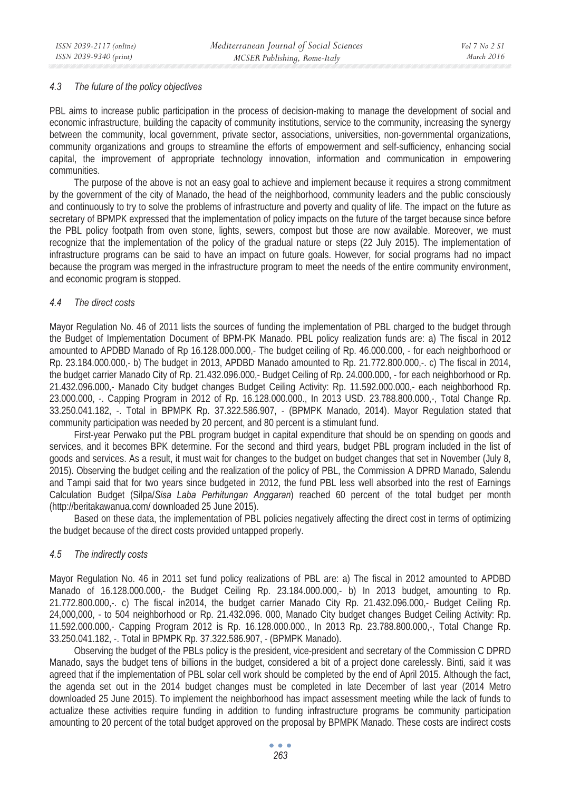#### *4.3 The future of the policy objectives*

PBL aims to increase public participation in the process of decision-making to manage the development of social and economic infrastructure, building the capacity of community institutions, service to the community, increasing the synergy between the community, local government, private sector, associations, universities, non-governmental organizations, community organizations and groups to streamline the efforts of empowerment and self-sufficiency, enhancing social capital, the improvement of appropriate technology innovation, information and communication in empowering communities.

The purpose of the above is not an easy goal to achieve and implement because it requires a strong commitment by the government of the city of Manado, the head of the neighborhood, community leaders and the public consciously and continuously to try to solve the problems of infrastructure and poverty and quality of life. The impact on the future as secretary of BPMPK expressed that the implementation of policy impacts on the future of the target because since before the PBL policy footpath from oven stone, lights, sewers, compost but those are now available. Moreover, we must recognize that the implementation of the policy of the gradual nature or steps (22 July 2015). The implementation of infrastructure programs can be said to have an impact on future goals. However, for social programs had no impact because the program was merged in the infrastructure program to meet the needs of the entire community environment, and economic program is stopped.

### *4.4 The direct costs*

Mayor Regulation No. 46 of 2011 lists the sources of funding the implementation of PBL charged to the budget through the Budget of Implementation Document of BPM-PK Manado. PBL policy realization funds are: a) The fiscal in 2012 amounted to APDBD Manado of Rp 16.128.000.000,- The budget ceiling of Rp. 46.000.000, - for each neighborhood or Rp. 23.184.000.000,- b) The budget in 2013, APDBD Manado amounted to Rp. 21.772.800.000,-. c) The fiscal in 2014, the budget carrier Manado City of Rp. 21.432.096.000,- Budget Ceiling of Rp. 24.000.000, - for each neighborhood or Rp. 21.432.096.000,- Manado City budget changes Budget Ceiling Activity: Rp. 11.592.000.000,- each neighborhood Rp. 23.000.000, -. Capping Program in 2012 of Rp. 16.128.000.000., In 2013 USD. 23.788.800.000,-, Total Change Rp. 33.250.041.182, -. Total in BPMPK Rp. 37.322.586.907, - (BPMPK Manado, 2014). Mayor Regulation stated that community participation was needed by 20 percent, and 80 percent is a stimulant fund.

First-year Perwako put the PBL program budget in capital expenditure that should be on spending on goods and services, and it becomes BPK determine. For the second and third years, budget PBL program included in the list of goods and services. As a result, it must wait for changes to the budget on budget changes that set in November (July 8, 2015). Observing the budget ceiling and the realization of the policy of PBL, the Commission A DPRD Manado, Salendu and Tampi said that for two years since budgeted in 2012, the fund PBL less well absorbed into the rest of Earnings Calculation Budget (Silpa/*Sisa Laba Perhitungan Anggaran*) reached 60 percent of the total budget per month (http://beritakawanua.com/ downloaded 25 June 2015).

Based on these data, the implementation of PBL policies negatively affecting the direct cost in terms of optimizing the budget because of the direct costs provided untapped properly.

# *4.5 The indirectly costs*

Mayor Regulation No. 46 in 2011 set fund policy realizations of PBL are: a) The fiscal in 2012 amounted to APDBD Manado of 16.128.000.000,- the Budget Ceiling Rp. 23.184.000.000,- b) In 2013 budget, amounting to Rp. 21.772.800.000,-. c) The fiscal in2014, the budget carrier Manado City Rp. 21.432.096.000,- Budget Ceiling Rp. 24,000,000, - to 504 neighborhood or Rp. 21.432.096. 000, Manado City budget changes Budget Ceiling Activity: Rp. 11.592.000.000,- Capping Program 2012 is Rp. 16.128.000.000., In 2013 Rp. 23.788.800.000,-, Total Change Rp. 33.250.041.182, -. Total in BPMPK Rp. 37.322.586.907, - (BPMPK Manado).

Observing the budget of the PBLs policy is the president, vice-president and secretary of the Commission C DPRD Manado, says the budget tens of billions in the budget, considered a bit of a project done carelessly. Binti, said it was agreed that if the implementation of PBL solar cell work should be completed by the end of April 2015. Although the fact, the agenda set out in the 2014 budget changes must be completed in late December of last year (2014 Metro downloaded 25 June 2015). To implement the neighborhood has impact assessment meeting while the lack of funds to actualize these activities require funding in addition to funding infrastructure programs be community participation amounting to 20 percent of the total budget approved on the proposal by BPMPK Manado. These costs are indirect costs